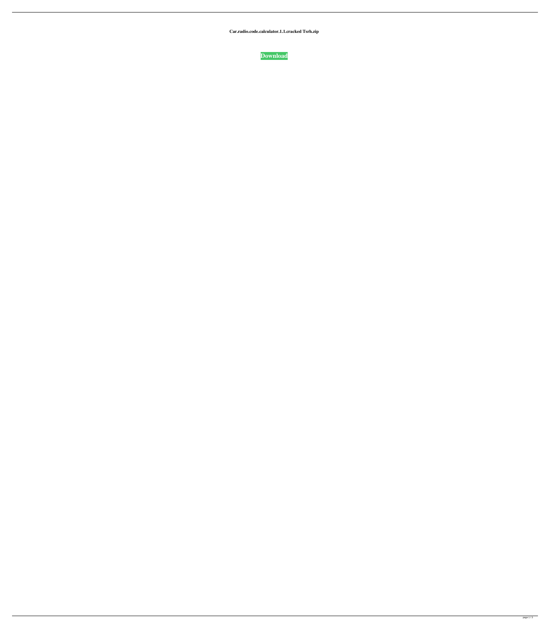**Car.radio.code.calculator.1.1.cracked Tsrh.zip**

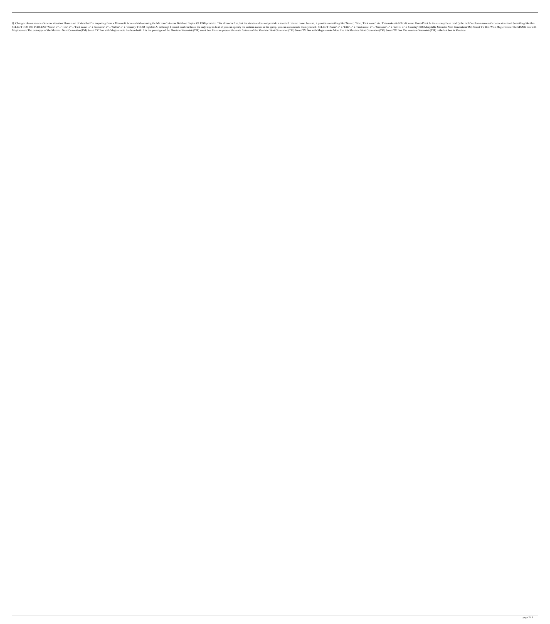Q: Change column names after concatenation I have a set of data that I'm importing from a Microsoft Access database using the Microsoft Access Database Engine OLEDB provider. This all works fine, but the database does not 1) OPERCENT 'Name' +" + 'Title' +" + 'First name' +" + 'Surname' +" + 'Surname' +" + 'Surname' +" + 'Surname' FROM mytable A: Although I cannot confirm this is the only way to do it, if you can concatenate them yourself. S In Magicremote The prototype of the Movistar Next Generation(TM) Smart TV Box with Magicremote has been built. It is the prototype of the Movistar Next Generation(TM) Smart Dox. Here we present the main features of the Mov